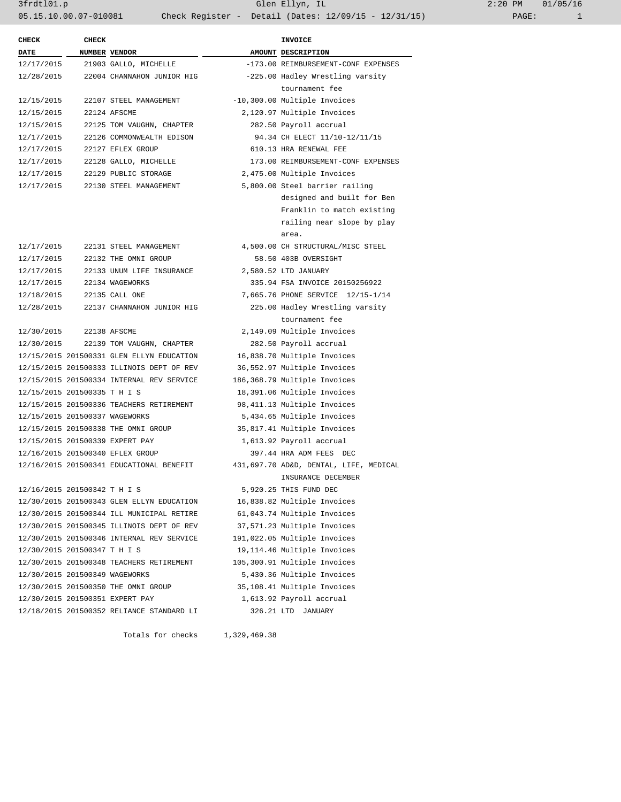| <b>CHECK</b>                   | <b>CHECK</b>                   |                                           |  | <b>INVOICE</b>                         |  |
|--------------------------------|--------------------------------|-------------------------------------------|--|----------------------------------------|--|
| <b>DATE</b>                    | NUMBER VENDOR                  |                                           |  | AMOUNT DESCRIPTION                     |  |
| 12/17/2015                     |                                | 21903 GALLO, MICHELLE                     |  | -173.00 REIMBURSEMENT-CONF EXPENSES    |  |
| 12/28/2015                     |                                | 22004 CHANNAHON JUNIOR HIG                |  | -225.00 Hadley Wrestling varsity       |  |
|                                |                                |                                           |  | tournament fee                         |  |
| 12/15/2015                     |                                | 22107 STEEL MANAGEMENT                    |  | -10,300.00 Multiple Invoices           |  |
| 12/15/2015                     |                                | 22124 AFSCME                              |  | 2,120.97 Multiple Invoices             |  |
| 12/15/2015                     |                                | 22125 TOM VAUGHN, CHAPTER                 |  | 282.50 Payroll accrual                 |  |
| 12/17/2015                     |                                | 22126 COMMONWEALTH EDISON                 |  | 94.34 CH ELECT 11/10-12/11/15          |  |
| 12/17/2015                     |                                | 22127 EFLEX GROUP                         |  | 610.13 HRA RENEWAL FEE                 |  |
| 12/17/2015                     |                                | 22128 GALLO, MICHELLE                     |  | 173.00 REIMBURSEMENT-CONF EXPENSES     |  |
| 12/17/2015                     |                                | 22129 PUBLIC STORAGE                      |  | 2,475.00 Multiple Invoices             |  |
| 12/17/2015                     |                                | 22130 STEEL MANAGEMENT                    |  | 5,800.00 Steel barrier railing         |  |
|                                |                                |                                           |  | designed and built for Ben             |  |
|                                |                                |                                           |  | Franklin to match existing             |  |
|                                |                                |                                           |  | railing near slope by play             |  |
|                                |                                |                                           |  | area.                                  |  |
| 12/17/2015                     |                                | 22131 STEEL MANAGEMENT                    |  | 4,500.00 CH STRUCTURAL/MISC STEEL      |  |
| 12/17/2015                     |                                | 22132 THE OMNI GROUP                      |  | 58.50 403B OVERSIGHT                   |  |
| 12/17/2015                     |                                | 22133 UNUM LIFE INSURANCE                 |  | 2,580.52 LTD JANUARY                   |  |
| 12/17/2015                     |                                | 22134 WAGEWORKS                           |  | 335.94 FSA INVOICE 20150256922         |  |
| 12/18/2015                     |                                | 22135 CALL ONE                            |  | 7,665.76 PHONE SERVICE 12/15-1/14      |  |
| 12/28/2015                     |                                | 22137 CHANNAHON JUNIOR HIG                |  | 225.00 Hadley Wrestling varsity        |  |
|                                |                                |                                           |  | tournament fee                         |  |
| 12/30/2015                     |                                | 22138 AFSCME                              |  | 2,149.09 Multiple Invoices             |  |
| 12/30/2015                     |                                | 22139 TOM VAUGHN, CHAPTER                 |  | 282.50 Payroll accrual                 |  |
|                                |                                | 12/15/2015 201500331 GLEN ELLYN EDUCATION |  | 16,838.70 Multiple Invoices            |  |
|                                |                                | 12/15/2015 201500333 ILLINOIS DEPT OF REV |  | 36,552.97 Multiple Invoices            |  |
|                                |                                | 12/15/2015 201500334 INTERNAL REV SERVICE |  | 186,368.79 Multiple Invoices           |  |
|                                | 12/15/2015 201500335 T H I S   |                                           |  | 18,391.06 Multiple Invoices            |  |
|                                |                                | 12/15/2015 201500336 TEACHERS RETIREMENT  |  | 98,411.13 Multiple Invoices            |  |
|                                | 12/15/2015 201500337 WAGEWORKS |                                           |  | 5,434.65 Multiple Invoices             |  |
|                                |                                | 12/15/2015 201500338 THE OMNI GROUP       |  | 35,817.41 Multiple Invoices            |  |
|                                |                                | 12/15/2015 201500339 EXPERT PAY           |  | 1,613.92 Payroll accrual               |  |
|                                |                                | 12/16/2015 201500340 EFLEX GROUP          |  | 397.44 HRA ADM FEES DEC                |  |
|                                |                                | 12/16/2015 201500341 EDUCATIONAL BENEFIT  |  | 431,697.70 AD&D, DENTAL, LIFE, MEDICAL |  |
|                                |                                |                                           |  | INSURANCE DECEMBER                     |  |
| 12/16/2015 201500342 T H I S   |                                |                                           |  | 5,920.25 THIS FUND DEC                 |  |
|                                |                                | 12/30/2015 201500343 GLEN ELLYN EDUCATION |  | 16,838.82 Multiple Invoices            |  |
|                                |                                | 12/30/2015 201500344 ILL MUNICIPAL RETIRE |  | 61,043.74 Multiple Invoices            |  |
|                                |                                | 12/30/2015 201500345 ILLINOIS DEPT OF REV |  | 37,571.23 Multiple Invoices            |  |
|                                |                                | 12/30/2015 201500346 INTERNAL REV SERVICE |  | 191,022.05 Multiple Invoices           |  |
| 12/30/2015 201500347 T H I S   |                                |                                           |  | 19,114.46 Multiple Invoices            |  |
|                                |                                | 12/30/2015 201500348 TEACHERS RETIREMENT  |  | 105,300.91 Multiple Invoices           |  |
| 12/30/2015 201500349 WAGEWORKS |                                |                                           |  | 5,430.36 Multiple Invoices             |  |
|                                |                                | 12/30/2015 201500350 THE OMNI GROUP       |  | 35,108.41 Multiple Invoices            |  |
|                                |                                | 12/30/2015 201500351 EXPERT PAY           |  | 1,613.92 Payroll accrual               |  |
|                                |                                |                                           |  |                                        |  |

Totals for checks 1,329,469.38